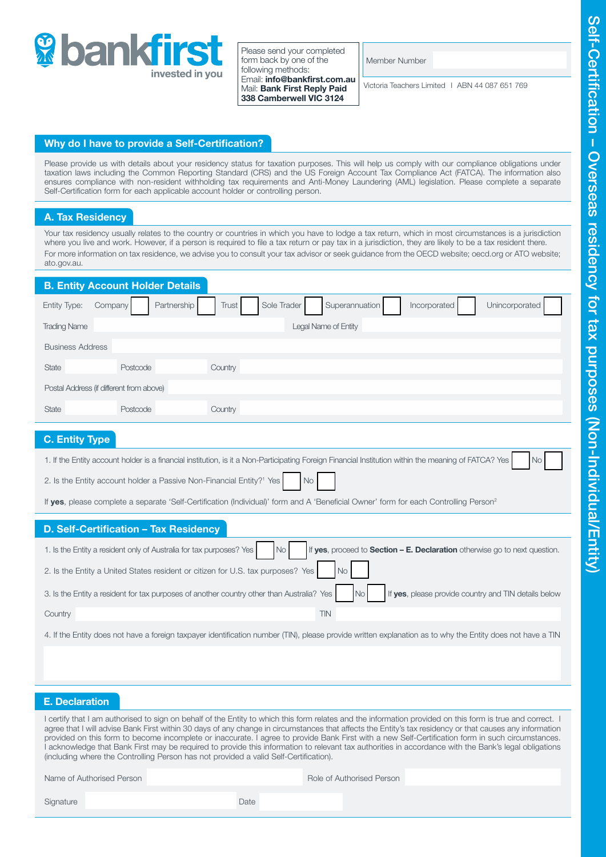

Please send your completed form back by one of the following methods: Email: info@bankfirst.com.au Mail: Bank First Reply Paid 338 Camberwell VIC 3124

Member Number

Victoria Teachers Limited I ABN 44 087 651 769

## Why do I have to provide a Self-Certification?

Please provide us with details about your residency status for taxation purposes. This will help us comply with our compliance obligations under taxation laws including the Common Reporting Standard (CRS) and the US Foreign Account Tax Compliance Act (FATCA). The information also ensures compliance with non-resident withholding tax requirements and Anti-Money Laundering (AML) legislation. Please complete a separate Self-Certification form for each applicable account holder or controlling person.

## A. Tax Residency

Your tax residency usually relates to the country or countries in which you have to lodge a tax return, which in most circumstances is a jurisdiction where you live and work. However, if a person is required to file a tax return or pay tax in a jurisdiction, they are likely to be a tax resident there. For more information on tax residence, we advise you to consult your tax advisor or seek guidance from the OECD website; oecd.org or ATO website; ato.gov.au.

| <b>B. Entity Account Holder Details</b>                                                                                                                           |
|-------------------------------------------------------------------------------------------------------------------------------------------------------------------|
| Partnership<br>Sole Trader<br>Superannuation<br>Unincorporated<br>Entity Type:<br>Company<br>Trust<br>Incorporated                                                |
| <b>Trading Name</b><br>Legal Name of Entity                                                                                                                       |
| <b>Business Address</b>                                                                                                                                           |
| Country<br><b>State</b><br>Postcode                                                                                                                               |
| Postal Address (if different from above)                                                                                                                          |
| <b>State</b><br>Country<br>Postcode                                                                                                                               |
| <b>C. Entity Type</b>                                                                                                                                             |
| 1. If the Entity account holder is a financial institution, is it a Non-Participating Foreign Financial Institution within the meaning of FATCA? Yes<br><b>No</b> |
| 2. Is the Entity account holder a Passive Non-Financial Entity? <sup>1</sup> Yes<br>No                                                                            |
| If yes, please complete a separate 'Self-Certification (Individual)' form and A 'Beneficial Owner' form for each Controlling Person <sup>2</sup>                  |
| D. Self-Certification - Tax Residency                                                                                                                             |
| If yes, proceed to Section - E. Declaration otherwise go to next question.<br>1. Is the Entity a resident only of Australia for tax purposes? Yes<br><b>No</b>    |
| 2. Is the Entity a United States resident or citizen for U.S. tax purposes? Yes<br><b>No</b>                                                                      |
| 3. Is the Entity a resident for tax purposes of another country other than Australia? Yes<br>If yes, please provide country and TIN details below<br><b>No</b>    |
| <b>TIN</b><br>Country                                                                                                                                             |
| 4. If the Entity does not have a foreign taxpayer identification number (TIN), please provide written explanation as to why the Entity does not have a TIN        |
|                                                                                                                                                                   |
|                                                                                                                                                                   |
|                                                                                                                                                                   |

## E. Declaration

I certify that I am authorised to sign on behalf of the Entity to which this form relates and the information provided on this form is true and correct. I agree that I will advise Bank First within 30 days of any change in circumstances that affects the Entity's tax residency or that causes any information provided on this form to become incomplete or inaccurate. I agree to provide Bank First with a new Self-Certification form in such circumstances. I acknowledge that Bank First may be required to provide this information to relevant tax authorities in accordance with the Bank's legal obligations (including where the Controlling Person has not provided a valid Self-Certification).

Name of Authorised Person **Role of Authorised Person** Role of Authorised Person

Signature **Date Date** *Date Date*